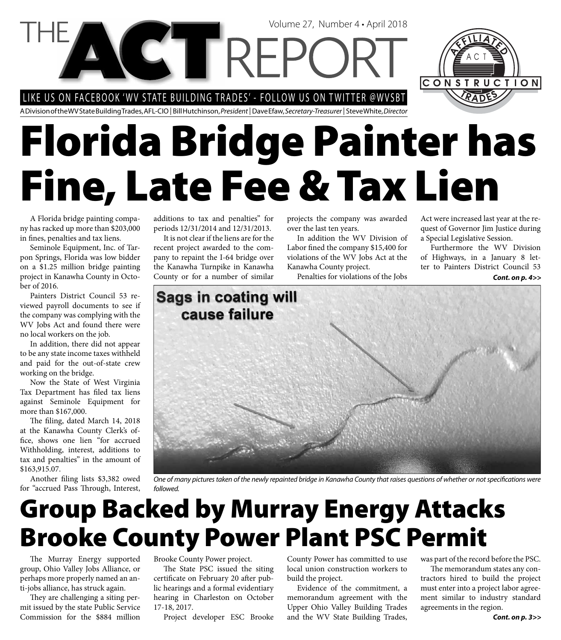LIKE US ON FACEBOOK 'WV STATE BUILDING TRADES' - FOLLOW US ON TWITTER @WVSBT

**VCTRE** 

A Division of the WV State Building Trades, AFL-CIO | Bill Hutchinson, President | Dave Efaw, Secretary-Treasurer | Steve White, Director

# **Florida Bridge Painter has Fine, Late Fee & Tax Lien**

A Florida bridge painting company has racked up more than \$203,000 in fines, penalties and tax liens.

Seminole Equipment, Inc. of Tarpon Springs, Florida was low bidder on a \$1.25 million bridge painting project in Kanawha County in October of 2016.

Painters District Council 53 reviewed payroll documents to see if the company was complying with the WV Jobs Act and found there were no local workers on the job.

In addition, there did not appear to be any state income taxes withheld and paid for the out-of-state crew working on the bridge.

Now the State of West Virginia Tax Department has filed tax liens against Seminole Equipment for more than \$167,000.

The filing, dated March 14, 2018 at the Kanawha County Clerk's office, shows one lien "for accrued Withholding, interest, additions to tax and penalties" in the amount of \$163,915.07.

Another filing lists \$3,382 owed for "accrued Pass Through, Interest, additions to tax and penalties" for periods 12/31/2014 and 12/31/2013.

It is not clear if the liens are for the recent project awarded to the company to repaint the I-64 bridge over the Kanawha Turnpike in Kanawha County or for a number of similar

projects the company was awarded over the last ten years.

Volume 27, Number 4 • April 2018

In addition the WV Division of Labor fined the company \$15,400 for violations of the WV Jobs Act at the Kanawha County project.

Penalties for violations of the Jobs

Act were increased last year at the request of Governor Jim Justice during a Special Legislative Session.

CONSTRUCTION

Furthermore the WV Division of Highways, in a January 8 letter to Painters District Council 53

*Cont. on p. 4>>*



One of many pictures taken of the newly repainted bridge in Kanawha County that raises questions of whether or not specifications were followed.

### **Group Backed by Murray Energy Attacks Brooke County Power Plant PSC Permit**

The Murray Energy supported group, Ohio Valley Jobs Alliance, or perhaps more properly named an anti-jobs alliance, has struck again.

They are challenging a siting permit issued by the state Public Service Commission for the \$884 million Brooke County Power project.

The State PSC issued the siting certificate on February 20 after public hearings and a formal evidentiary hearing in Charleston on October 17-18, 2017.

Project developer ESC Brooke

County Power has committed to use local union construction workers to build the project.

Evidence of the commitment, a memorandum agreement with the Upper Ohio Valley Building Trades and the WV State Building Trades,

was part of the record before the PSC.

The memorandum states any contractors hired to build the project must enter into a project labor agreement similar to industry standard agreements in the region.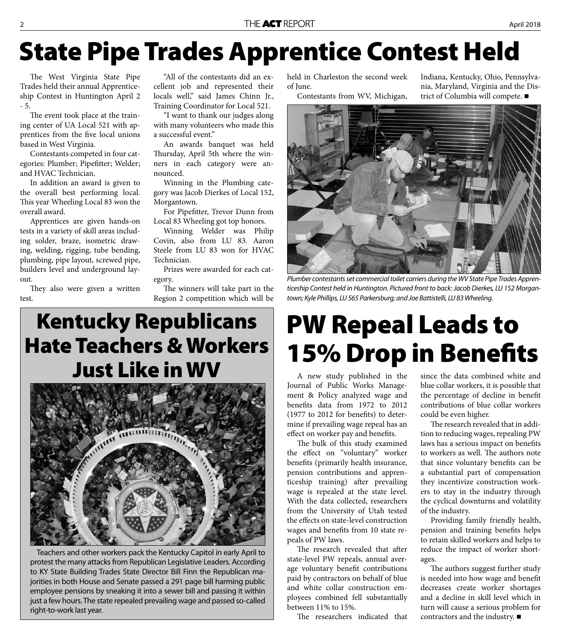# **State Pipe Trades Apprentice Contest Held**

The West Virginia State Pipe Trades held their annual Apprenticeship Contest in Huntington April 2 - 5.

The event took place at the training center of UA Local 521 with apprentices from the five local unions based in West Virginia.

Contestants competed in four categories: Plumber; Pipefitter; Welder; and HVAC Technician.

In addition an award is given to the overall best performing local. This year Wheeling Local 83 won the overall award.

Apprentices are given hands-on tests in a variety of skill areas including solder, braze, isometric drawing, welding, rigging, tube bending, plumbing, pipe layout, screwed pipe, builders level and underground layout.

They also were given a written test.

"All of the contestants did an excellent job and represented their locals well," said James Chinn Jr., Training Coordinator for Local 521.

"I want to thank our judges along with many volunteers who made this a successful event."

An awards banquet was held Thursday, April 5th where the winners in each category were announced.

Winning in the Plumbing category was Jacob Dierkes of Local 152, Morgantown.

For Pipefitter, Trevor Dunn from Local 83 Wheeling got top honors.

Winning Welder was Philip Covin, also from LU 83. Aaron Steele from LU 83 won for HVAC Technician.

Prizes were awarded for each category.

The winners will take part in the Region 2 competition which will be

#### **Kentucky Republicans Hate Teachers & Workers Just Like in WV**



Teachers and other workers pack the Kentucky Capitol in early April to protest the many attacks from Republican Legislative Leaders. According to KY State Building Trades State Director Bill Finn the Republican majorities in both House and Senate passed a 291 page bill harming public employee pensions by sneaking it into a sewer bill and passing it within just a few hours. The state repealed prevailing wage and passed so-called right-to-work last year.

held in Charleston the second week of June.

Contestants from WV, Michigan,

Indiana, Kentucky, Ohio, Pennsylvania, Maryland, Virginia and the District of Columbia will compete.



Plumber contestants set commercial toilet carriers during the WV State Pipe Trades Apprenticeship Contest held in Huntington. Pictured front to back: Jacob Dierkes, LU 152 Morgantown; Kyle Phillips, LU 565 Parkersburg; and Joe Battistelli, LU 83 Wheeling.

# **PW Repeal Leads to 15% Drop in Benefits**

A new study published in the Journal of Public Works Management & Policy analyzed wage and benefits data from 1972 to 2012  $(1977$  to 2012 for benefits) to determine if prevailing wage repeal has an effect on worker pay and benefits.

The bulk of this study examined the effect on "voluntary" worker benefits (primarily health insurance, pension contributions and apprenticeship training) after prevailing wage is repealed at the state level. With the data collected, researchers from the University of Utah tested the effects on state-level construction wages and benefits from 10 state repeals of PW laws.

The research revealed that after state-level PW repeals, annual average voluntary benefit contributions paid by contractors on behalf of blue and white collar construction employees combined fell substantially between 11% to 15%.

The researchers indicated that

since the data combined white and blue collar workers, it is possible that the percentage of decline in benefit contributions of blue collar workers could be even higher.

The research revealed that in addition to reducing wages, repealing PW laws has a serious impact on benefits to workers as well. The authors note that since voluntary benefits can be a substantial part of compensation they incentivize construction workers to stay in the industry through the cyclical downturns and volatility of the industry.

Providing family friendly health, pension and training benefits helps to retain skilled workers and helps to reduce the impact of worker shortages.

The authors suggest further study is needed into how wage and benefit decreases create worker shortages and a decline in skill level which in turn will cause a serious problem for contractors and the industry.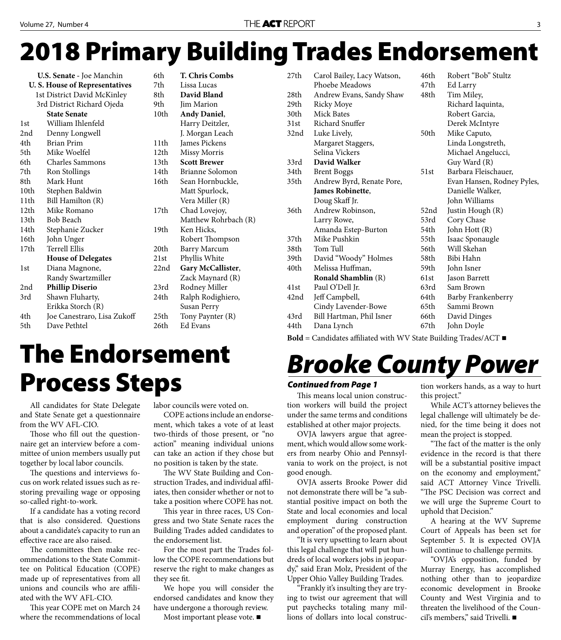# **2018 Primary Building Trades Endorsement**

| <b>U.S. Senate - Joe Manchin</b>     | 6th                         |      |
|--------------------------------------|-----------------------------|------|
| <b>U.S. House of Representatives</b> | 7th                         |      |
| 1st District David McKinley          | 8th                         |      |
| 3rd District Richard Ojeda           | 9th                         |      |
|                                      | <b>State Senate</b>         | 10th |
| 1st                                  | William Ihlenfeld           |      |
| 2nd                                  | Denny Longwell              |      |
| 4th                                  | <b>Brian Prim</b>           | 11th |
| 5th                                  | Mike Woelfel                | 12th |
| 6th                                  | Charles Sammons             | 13th |
| 7th                                  | Ron Stollings               | 14th |
| 8th                                  | Mark Hunt                   | 16th |
| 10 <sub>th</sub>                     | Stephen Baldwin             |      |
| 11th                                 | Bill Hamilton (R)           |      |
| 12 <sub>th</sub>                     | Mike Romano                 | 17th |
| 13 <sub>th</sub>                     | <b>Bob Beach</b>            |      |
| 14th                                 | Stephanie Zucker            | 19th |
| 16th                                 | John Unger                  |      |
| 17th                                 | <b>Terrell Ellis</b>        | 20th |
|                                      | <b>House of Delegates</b>   | 21st |
| 1st                                  | Diana Magnone,              | 22no |
|                                      | Randy Swartzmiller          |      |
| 2nd                                  | <b>Phillip Diserio</b>      | 23rd |
| 3rd                                  | Shawn Fluharty,             | 24th |
|                                      | Erikka Storch (R)           |      |
| 4th                                  | Joe Canestraro, Lisa Zukoff | 25th |
| 5th                                  | Dave Pethtel                | 26th |

| 6th  | <b>T. Chris Combs</b> |  |  |
|------|-----------------------|--|--|
| 7th  | Lissa Lucas           |  |  |
| 8th  | David Bland           |  |  |
| 9th  | Jim Marion            |  |  |
| 10th | <b>Andy Daniel,</b>   |  |  |
|      | Harry Deitzler,       |  |  |
|      | J. Morgan Leach       |  |  |
| 11th | James Pickens         |  |  |
| 12th | <b>Missy Morris</b>   |  |  |
| 13th | <b>Scott Brewer</b>   |  |  |
| 14th | Brianne Solomon       |  |  |
| 16th | Sean Hornbuckle,      |  |  |
|      | Matt Spurlock,        |  |  |
|      | Vera Miller (R)       |  |  |
| 17th | Chad Lovejoy,         |  |  |
|      | Matthew Rohrbach (R)  |  |  |
| 19th | Ken Hicks,            |  |  |
|      | Robert Thompson       |  |  |
| 20th | <b>Barry Marcum</b>   |  |  |
| 21st | Phyllis White         |  |  |
| 22nd | Gary McCallister,     |  |  |
|      | Zack Maynard (R)      |  |  |
| 23rd | Rodney Miller         |  |  |
| 24th | Ralph Rodighiero,     |  |  |
|      | Susan Perry           |  |  |
| 25th | Tony Paynter (R)      |  |  |
| 26th | Ed Evans              |  |  |

### **The Endorsement Process Steps**

All candidates for State Delegate and State Senate get a questionnaire from the WV AFL-CIO.

Those who fill out the questionnaire get an interview before a committee of union members usually put together by local labor councils.

The questions and interviews focus on work related issues such as restoring prevailing wage or opposing so-called right-to-work.

If a candidate has a voting record that is also considered. Questions about a candidate's capacity to run an effective race are also raised.

The committees then make recommendations to the State Committee on Political Education (COPE) made up of representatives from all unions and councils who are affiliated with the WV AFL-CIO.

This year COPE met on March 24 where the recommendations of local labor councils were voted on.

COPE actions include an endorsement, which takes a vote of at least two-thirds of those present, or "no action" meaning individual unions can take an action if they chose but no position is taken by the state.

The WV State Building and Construction Trades, and individual affiliates, then consider whether or not to take a position where COPE has not.

This year in three races, US Congress and two State Senate races the Building Trades added candidates to the endorsement list.

For the most part the Trades follow the COPE recommendations but reserve the right to make changes as they see fit.

We hope you will consider the endorsed candidates and know they have undergone a thorough review.

Most important please vote.

| 27th   | Carol Bailey, Lacy Watson,                              | 46th | Robert "Bob" Stultz        |
|--------|---------------------------------------------------------|------|----------------------------|
|        | Phoebe Meadows                                          | 47th | Ed Larry                   |
| 28th   | Andrew Evans, Sandy Shaw                                | 48th | Tim Miley,                 |
| 29th   | <b>Ricky Moye</b>                                       |      | Richard Iaquinta,          |
| 30th   | Mick Bates                                              |      | Robert Garcia,             |
| 31st   | Richard Snuffer                                         |      | Derek McIntyre             |
| 32nd   | Luke Lively,                                            | 50th | Mike Caputo,               |
|        | Margaret Staggers,                                      |      | Linda Longstreth,          |
|        | Selina Vickers                                          |      | Michael Angelucci,         |
| 33rd   | David Walker                                            |      | Guy Ward (R)               |
| 34th   | <b>Brent Boggs</b>                                      | 51st | Barbara Fleischauer,       |
| 35th   | Andrew Byrd, Renate Pore,                               |      | Evan Hansen, Rodney Pyles, |
|        | James Robinette,                                        |      | Danielle Walker,           |
|        | Doug Skaff Jr.                                          |      | John Williams              |
| 36th   | Andrew Robinson,                                        | 52nd | Justin Hough (R)           |
|        | Larry Rowe,                                             | 53rd | Cory Chase                 |
|        | Amanda Estep-Burton                                     | 54th | John Hott (R)              |
| 37th   | Mike Pushkin                                            | 55th | Isaac Sponaugle            |
| 38th   | Tom Tull                                                | 56th | Will Skehan                |
| 39th   | David "Woody" Holmes                                    | 58th | Bibi Hahn                  |
| 40th   | Melissa Huffman,                                        | 59th | John Isner                 |
|        | <b>Ronald Shamblin</b> (R)                              | 61st | Jason Barrett              |
| 41st   | Paul O'Dell Jr.                                         | 63rd | Sam Brown                  |
| 42nd   | Jeff Campbell,                                          | 64th | Barby Frankenberry         |
|        | Cindy Lavender-Bowe                                     | 65th | Sammi Brown                |
| 43rd   | Bill Hartman, Phil Isner                                | 66th | David Dinges               |
| 44th   | Dana Lynch                                              | 67th | John Doyle                 |
| $n$ 11 | $C = 1.1$ , $C1:1:1$ $U1$ $U1C$ , $D = 11$ , $T1$ $U1C$ |      |                            |

 $Bold =$  Candidates affiliated with WV State Building Trades/ACT

#### *Brooke County Power*

#### *Continued from Page 1*

This means local union construction workers will build the project under the same terms and conditions established at other major projects.

OVJA lawyers argue that agreement, which would allow some workers from nearby Ohio and Pennsylvania to work on the project, is not good enough.

OVJA asserts Brooke Power did not demonstrate there will be "a substantial positive impact on both the State and local economies and local employment during construction and operation" of the proposed plant.

"It is very upsetting to learn about this legal challenge that will put hundreds of local workers jobs in jeopardy," said Eran Molz, President of the Upper Ohio Valley Building Trades.

"Frankly it's insulting they are trying to twist our agreement that will put paychecks totaling many millions of dollars into local construction workers hands, as a way to hurt this project."

While ACT's attorney believes the legal challenge will ultimately be denied, for the time being it does not mean the project is stopped.

"The fact of the matter is the only evidence in the record is that there will be a substantial positive impact on the economy and employment," said ACT Attorney Vince Trivelli. "The PSC Decision was correct and we will urge the Supreme Court to uphold that Decision."

A hearing at the WV Supreme Court of Appeals has been set for September 5. It is expected OVJA will continue to challenge permits.

"OVJA's opposition, funded by Murray Energy, has accomplished nothing other than to jeopardize economic development in Brooke County and West Virginia and to threaten the livelihood of the Council's members," said Trivelli.